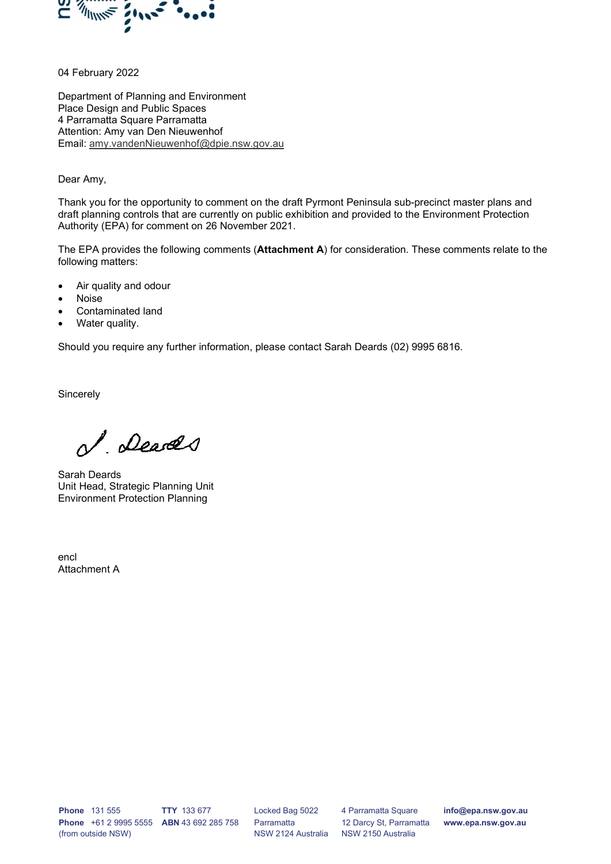

04 February 2022

Department of Planning and Environment Place Design and Public Spaces 4 Parramatta Square Parramatta Attention: Amy van Den Nieuwenhof Email: amy.vandenNieuwenhof@dpie.nsw.gov.au

#### Dear Amy,

Thank you for the opportunity to comment on the draft Pyrmont Peninsula sub-precinct master plans and draft planning controls that are currently on public exhibition and provided to the Environment Protection Authority (EPA) for comment on 26 November 2021.

The EPA provides the following comments (Attachment A) for consideration. These comments relate to the following matters:

- Air quality and odour
- Noise
- Contaminated land
- Water quality.

Should you require any further information, please contact Sarah Deards (02) 9995 6816.

**Sincerely** 

I Deares

Sarah Deards Unit Head, Strategic Planning Unit Environment Protection Planning

encl Attachment A

Phone 131 555 Phone +61 2 9995 5555 ABN 43 692 285 758 (from outside NSW) TTY 133 677

Locked Bag 5022 Parramatta NSW 2124 Australia

4 Parramatta Square 12 Darcy St, Parramatta NSW 2150 Australia

info@epa.nsw.gov.au www.epa.nsw.gov.au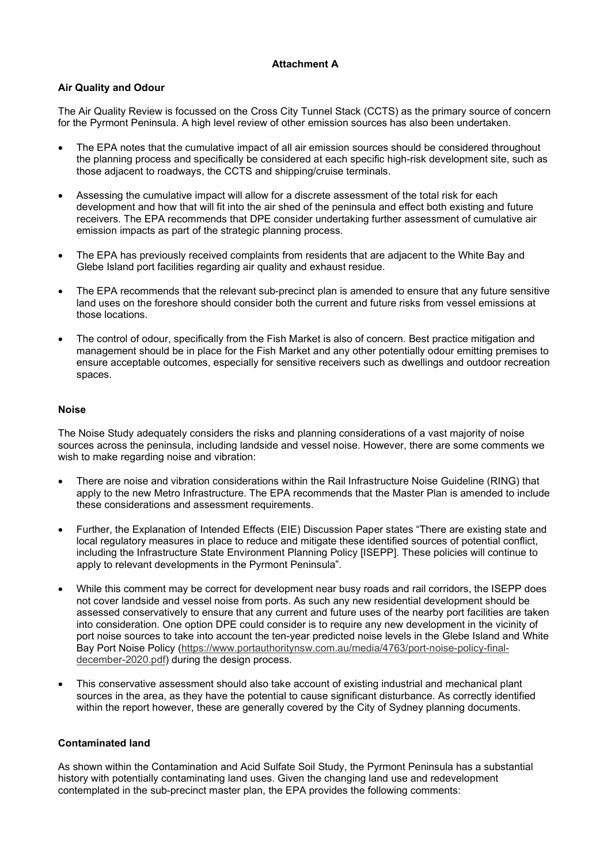# Attachment A

### Air Quality and Odour

The Air Quality Review is focussed on the Cross City Tunnel Stack (CCTS) as the primary source of concern for the Pyrmont Peninsula. A high level review of other emission sources has also been undertaken.

- The EPA notes that the cumulative impact of all air emission sources should be considered throughout the planning process and specifically be considered at each specific high-risk development site, such as those adjacent to roadways, the CCTS and shipping/cruise terminals.
- Assessing the cumulative impact will allow for a discrete assessment of the total risk for each development and how that will fit into the air shed of the peninsula and effect both existing and future receivers. The EPA recommends that DPE consider undertaking further assessment of cumulative air emission impacts as part of the strategic planning process.
- The EPA has previously received complaints from residents that are adjacent to the White Bay and Glebe Island port facilities regarding air quality and exhaust residue.
- The EPA recommends that the relevant sub-precinct plan is amended to ensure that any future sensitive land uses on the foreshore should consider both the current and future risks from vessel emissions at those locations.
- The control of odour, specifically from the Fish Market is also of concern. Best practice mitigation and management should be in place for the Fish Market and any other potentially odour emitting premises to ensure acceptable outcomes, especially for sensitive receivers such as dwellings and outdoor recreation spaces.

### Noise

The Noise Study adequately considers the risks and planning considerations of a vast majority of noise sources across the peninsula, including landside and vessel noise. However, there are some comments we wish to make regarding noise and vibration:

- There are noise and vibration considerations within the Rail Infrastructure Noise Guideline (RING) that apply to the new Metro Infrastructure. The EPA recommends that the Master Plan is amended to include these considerations and assessment requirements.
- Further, the Explanation of Intended Effects (EIE) Discussion Paper states "There are existing state and local regulatory measures in place to reduce and mitigate these identified sources of potential conflict, including the Infrastructure State Environment Planning Policy [ISEPP]. These policies will continue to apply to relevant developments in the Pyrmont Peninsula".
- While this comment may be correct for development near busy roads and rail corridors, the ISEPP does not cover landside and vessel noise from ports. As such any new residential development should be assessed conservatively to ensure that any current and future uses of the nearby port facilities are taken into consideration. One option DPE could consider is to require any new development in the vicinity of port noise sources to take into account the ten-year predicted noise levels in the Glebe Island and White Bay Port Noise Policy (https://www.portauthoritynsw.com.au/media/4763/port-noise-policy-finaldecember-2020.pdf) during the design process.
- This conservative assessment should also take account of existing industrial and mechanical plant sources in the area, as they have the potential to cause significant disturbance. As correctly identified within the report however, these are generally covered by the City of Sydney planning documents.

### Contaminated land

As shown within the Contamination and Acid Sulfate Soil Study, the Pyrmont Peninsula has a substantial history with potentially contaminating land uses. Given the changing land use and redevelopment contemplated in the sub-precinct master plan, the EPA provides the following comments: